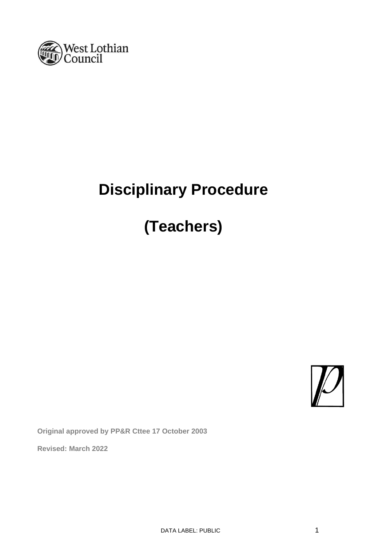

# **Disciplinary Procedure**

# **(Teachers)**



**Original approved by PP&R Cttee 17 October 2003** 

**Revised: March 2022**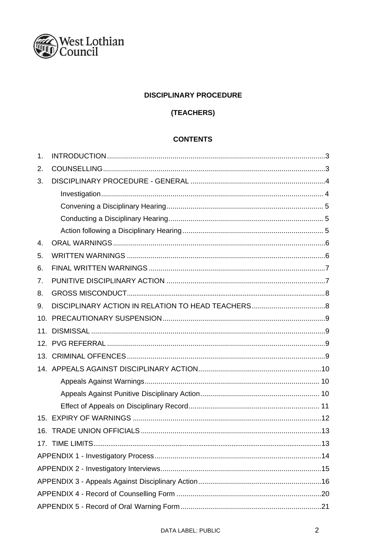

# **DISCIPLINARY PROCEDURE**

# (TEACHERS)

# **CONTENTS**

| 1.  |  |  |  |
|-----|--|--|--|
| 2.  |  |  |  |
| 3.  |  |  |  |
|     |  |  |  |
|     |  |  |  |
|     |  |  |  |
|     |  |  |  |
| 4.  |  |  |  |
| 5.  |  |  |  |
| 6.  |  |  |  |
| 7.  |  |  |  |
| 8.  |  |  |  |
| 9.  |  |  |  |
| 10. |  |  |  |
| 11. |  |  |  |
| 12. |  |  |  |
| 13. |  |  |  |
|     |  |  |  |
|     |  |  |  |
|     |  |  |  |
|     |  |  |  |
|     |  |  |  |
| 16. |  |  |  |
|     |  |  |  |
|     |  |  |  |
|     |  |  |  |
|     |  |  |  |
|     |  |  |  |
|     |  |  |  |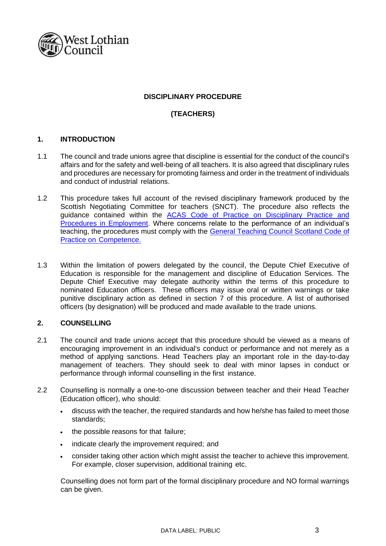

# **DISCIPLINARY PROCEDURE**

# **(TEACHERS)**

# <span id="page-2-0"></span>**1. INTRODUCTION**

- 1.1 The council and trade unions agree that discipline is essential for the conduct of the council's affairs and for the safety and well-being of all teachers. It is also agreed that disciplinary rules and procedures are necessary for promoting fairness and order in the treatment of individuals and conduct of industrial relations.
- 1.2 This procedure takes full account of the revised disciplinary framework produced by the Scottish Negotiating Committee for teachers (SNCT). The procedure also reflects the guidance contained within the [ACAS Code of Practice on Disciplinary Practice and](http://www.acas.org.uk/index.aspx?articleid=2174) [Procedures in Employment.](http://www.acas.org.uk/index.aspx?articleid=2174) Where concerns relate to the performance of an individual's teaching, the procedures must comply with the [General Teaching Council Scotland Code](http://www.gtcs.org.uk/web/FILES/teacher-regulation/code-of-practice-on-teacher-competence.pdf) [of](http://www.gtcs.org.uk/web/FILES/teacher-regulation/code-of-practice-on-teacher-competence.pdf)  Practice on [Competence.](http://www.gtcs.org.uk/web/FILES/teacher-regulation/code-of-practice-on-teacher-competence.pdf)
- 1.3 Within the limitation of powers delegated by the council, the Depute Chief Executive of Education is responsible for the management and discipline of Education Services. The Depute Chief Executive may delegate authority within the terms of this procedure to nominated Education officers. These officers may issue oral or written warnings or take punitive disciplinary action as defined in section 7 of this procedure. A list of authorised officers (by designation) will be produced and made available to the trade unions.

# <span id="page-2-1"></span>**2. COUNSELLING**

- 2.1 The council and trade unions accept that this procedure should be viewed as a means of encouraging improvement in an individual's conduct or performance and not merely as a method of applying sanctions. Head Teachers play an important role in the day-to-day management of teachers. They should seek to deal with minor lapses in conduct or performance through informal counselling in the first instance.
- 2.2 Counselling is normally a one-to-one discussion between teacher and their Head Teacher (Education officer), who should:
	- discuss with the teacher, the required standards and how he/she has failed to meet those standards;
	- the possible reasons for that failure;
	- indicate clearly the improvement required; and
	- consider taking other action which might assist the teacher to achieve this improvement. For example, closer supervision, additional training etc.

Counselling does not form part of the formal disciplinary procedure and NO formal warnings can be given.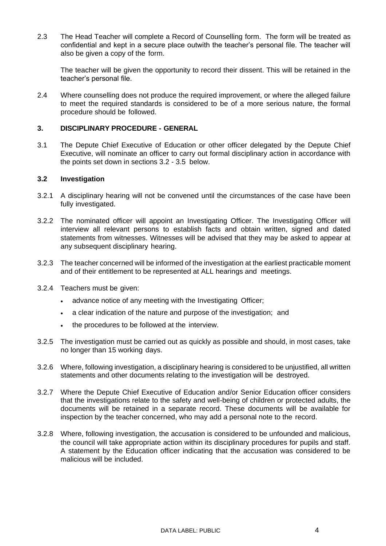2.3 The Head Teacher will complete a Record of Counselling form. The form will be treated as confidential and kept in a secure place outwith the teacher's personal file. The teacher will also be given a copy of the form.

The teacher will be given the opportunity to record their dissent. This will be retained in the teacher's personal file.

2.4 Where counselling does not produce the required improvement, or where the alleged failure to meet the required standards is considered to be of a more serious nature, the formal procedure should be followed.

# <span id="page-3-0"></span>**3. DISCIPLINARY PROCEDURE - GENERAL**

3.1 The Depute Chief Executive of Education or other officer delegated by the Depute Chief Executive, will nominate an officer to carry out formal disciplinary action in accordance with the points set down in sections 3.2 - 3.5 below.

#### **3.2 Investigation**

- 3.2.1 A disciplinary hearing will not be convened until the circumstances of the case have been fully investigated.
- 3.2.2 The nominated officer will appoint an Investigating Officer. The Investigating Officer will interview all relevant persons to establish facts and obtain written, signed and dated statements from witnesses. Witnesses will be advised that they may be asked to appear at any subsequent disciplinary hearing.
- 3.2.3 The teacher concerned will be informed of the investigation at the earliest practicable moment and of their entitlement to be represented at ALL hearings and meetings.
- 3.2.4 Teachers must be given:
	- advance notice of any meeting with the Investigating Officer;
	- a clear indication of the nature and purpose of the investigation; and
	- the procedures to be followed at the interview.
- 3.2.5 The investigation must be carried out as quickly as possible and should, in most cases, take no longer than 15 working days.
- 3.2.6 Where, following investigation, a disciplinary hearing is considered to be unjustified, all written statements and other documents relating to the investigation will be destroyed.
- 3.2.7 Where the Depute Chief Executive of Education and/or Senior Education officer considers that the investigations relate to the safety and well-being of children or protected adults, the documents will be retained in a separate record. These documents will be available for inspection by the teacher concerned, who may add a personal note to the record.
- 3.2.8 Where, following investigation, the accusation is considered to be unfounded and malicious, the council will take appropriate action within its disciplinary procedures for pupils and staff. A statement by the Education officer indicating that the accusation was considered to be malicious will be included.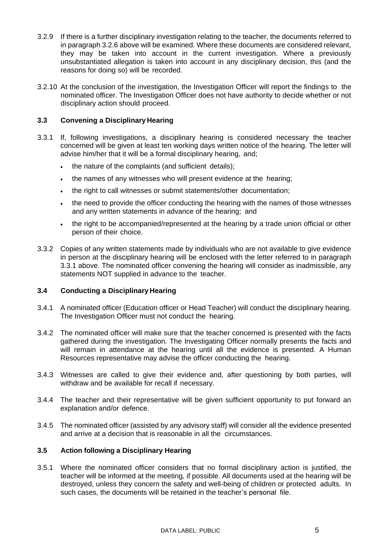- 3.2.9 If there is a further disciplinary investigation relating to the teacher, the documents referred to in paragraph 3.2.6 above will be examined. Where these documents are considered relevant, they may be taken into account in the current investigation. Where a previously unsubstantiated allegation is taken into account in any disciplinary decision, this (and the reasons for doing so) will be recorded.
- 3.2.10 At the conclusion of the investigation, the Investigation Officer will report the findings to the nominated officer. The Investigation Officer does not have authority to decide whether or not disciplinary action should proceed.

# **3.3 Convening a Disciplinary Hearing**

- 3.3.1 If, following investigations, a disciplinary hearing is considered necessary the teacher concerned will be given at least ten working days written notice of the hearing. The letter will advise him/her that it will be a formal disciplinary hearing, and;
	- the nature of the complaints (and sufficient details);
	- the names of any witnesses who will present evidence at the hearing;
	- the right to call witnesses or submit statements/other documentation;
	- the need to provide the officer conducting the hearing with the names of those witnesses and any written statements in advance of the hearing; and
	- the right to be accompanied/represented at the hearing by a trade union official or other person of their choice.
- 3.3.2 Copies of any written statements made by individuals who are not available to give evidence in person at the disciplinary hearing will be enclosed with the letter referred to in paragraph 3.3.1 above. The nominated officer convening the hearing will consider as inadmissible, any statements NOT supplied in advance to the teacher.

# **3.4 Conducting a Disciplinary Hearing**

- 3.4.1 A nominated officer (Education officer or Head Teacher) will conduct the disciplinary hearing. The Investigation Officer must not conduct the hearing.
- 3.4.2 The nominated officer will make sure that the teacher concerned is presented with the facts gathered during the investigation. The Investigating Officer normally presents the facts and will remain in attendance at the hearing until all the evidence is presented. A Human Resources representative may advise the officer conducting the hearing.
- 3.4.3 Witnesses are called to give their evidence and, after questioning by both parties, will withdraw and be available for recall if necessary.
- 3.4.4 The teacher and their representative will be given sufficient opportunity to put forward an explanation and/or defence.
- 3.4.5 The nominated officer (assisted by any advisory staff) will consider all the evidence presented and arrive at a decision that is reasonable in all the circumstances.

# **3.5 Action following a Disciplinary Hearing**

3.5.1 Where the nominated officer considers that no formal disciplinary action is justified, the teacher will be informed at the meeting, if possible. All documents used at the hearing will be destroyed, unless they concern the safety and well-being of children or protected adults. In such cases, the documents will be retained in the teacher's personal file.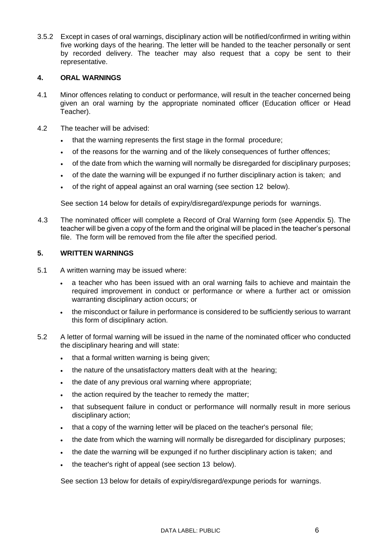3.5.2 Except in cases of oral warnings, disciplinary action will be notified/confirmed in writing within five working days of the hearing. The letter will be handed to the teacher personally or sent by recorded delivery. The teacher may also request that a copy be sent to their representative.

# <span id="page-5-0"></span>**4. ORAL WARNINGS**

- 4.1 Minor offences relating to conduct or performance, will result in the teacher concerned being given an oral warning by the appropriate nominated officer (Education officer or Head Teacher).
- 4.2 The teacher will be advised:
	- that the warning represents the first stage in the formal procedure;
	- of the reasons for the warning and of the likely consequences of further offences;
	- of the date from which the warning will normally be disregarded for disciplinary purposes;
	- of the date the warning will be expunged if no further disciplinary action is taken; and
	- of the right of appeal against an oral warning (see section 12 below).

See section 14 below for details of expiry/disregard/expunge periods for warnings.

4.3 The nominated officer will complete a Record of Oral Warning form (see Appendix 5). The teacher will be given a copy of the form and the original will be placed in the teacher's personal file. The form will be removed from the file after the specified period.

# <span id="page-5-1"></span>**5. WRITTEN WARNINGS**

- 5.1 A written warning may be issued where:
	- a teacher who has been issued with an oral warning fails to achieve and maintain the required improvement in conduct or performance or where a further act or omission warranting disciplinary action occurs; or
	- the misconduct or failure in performance is considered to be sufficiently serious to warrant this form of disciplinary action.
- 5.2 A letter of formal warning will be issued in the name of the nominated officer who conducted the disciplinary hearing and will state:
	- that a formal written warning is being given;
	- the nature of the unsatisfactory matters dealt with at the hearing;
	- the date of any previous oral warning where appropriate;
	- the action required by the teacher to remedy the matter:
	- that subsequent failure in conduct or performance will normally result in more serious disciplinary action;
	- that a copy of the warning letter will be placed on the teacher's personal file;
	- the date from which the warning will normally be disregarded for disciplinary purposes;
	- the date the warning will be expunged if no further disciplinary action is taken; and
	- the teacher's right of appeal (see section 13 below).

See section 13 below for details of expiry/disregard/expunge periods for warnings.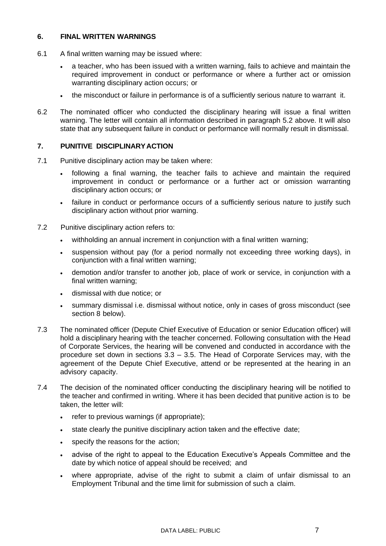#### <span id="page-6-0"></span>**6. FINAL WRITTEN WARNINGS**

- 6.1 A final written warning may be issued where:
	- a teacher, who has been issued with a written warning, fails to achieve and maintain the required improvement in conduct or performance or where a further act or omission warranting disciplinary action occurs; or
	- the misconduct or failure in performance is of a sufficiently serious nature to warrant it.
- 6.2 The nominated officer who conducted the disciplinary hearing will issue a final written warning. The letter will contain all information described in paragraph 5.2 above. It will also state that any subsequent failure in conduct or performance will normally result in dismissal.

# <span id="page-6-1"></span>**7. PUNITIVE DISCIPLINARYACTION**

- 7.1 Punitive disciplinary action may be taken where:
	- following a final warning, the teacher fails to achieve and maintain the required improvement in conduct or performance or a further act or omission warranting disciplinary action occurs; or
	- failure in conduct or performance occurs of a sufficiently serious nature to justify such disciplinary action without prior warning.
- 7.2 Punitive disciplinary action refers to:
	- withholding an annual increment in conjunction with a final written warning;
	- suspension without pay (for a period normally not exceeding three working days), in conjunction with a final written warning:
	- demotion and/or transfer to another job, place of work or service, in conjunction with a final written warning;
	- dismissal with due notice; or
	- summary dismissal i.e. dismissal without notice, only in cases of gross misconduct (see section 8 below).
- 7.3 The nominated officer (Depute Chief Executive of Education or senior Education officer) will hold a disciplinary hearing with the teacher concerned. Following consultation with the Head of Corporate Services, the hearing will be convened and conducted in accordance with the procedure set down in sections 3.3 – 3.5. The Head of Corporate Services may, with the agreement of the Depute Chief Executive, attend or be represented at the hearing in an advisory capacity.
- 7.4 The decision of the nominated officer conducting the disciplinary hearing will be notified to the teacher and confirmed in writing. Where it has been decided that punitive action is to be taken, the letter will:
	- refer to previous warnings (if appropriate);
	- state clearly the punitive disciplinary action taken and the effective date;
	- specify the reasons for the action;
	- advise of the right to appeal to the Education Executive's Appeals Committee and the date by which notice of appeal should be received; and
	- where appropriate, advise of the right to submit a claim of unfair dismissal to an Employment Tribunal and the time limit for submission of such a claim.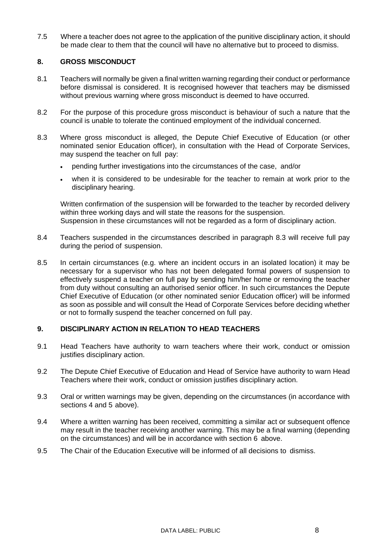7.5 Where a teacher does not agree to the application of the punitive disciplinary action, it should be made clear to them that the council will have no alternative but to proceed to dismiss.

#### <span id="page-7-0"></span>**8. GROSS MISCONDUCT**

- 8.1 Teachers will normally be given a final written warning regarding their conduct or performance before dismissal is considered. It is recognised however that teachers may be dismissed without previous warning where gross misconduct is deemed to have occurred.
- 8.2 For the purpose of this procedure gross misconduct is behaviour of such a nature that the council is unable to tolerate the continued employment of the individual concerned.
- 8.3 Where gross misconduct is alleged, the Depute Chief Executive of Education (or other nominated senior Education officer), in consultation with the Head of Corporate Services, may suspend the teacher on full pay:
	- pending further investigations into the circumstances of the case, and/or
	- when it is considered to be undesirable for the teacher to remain at work prior to the disciplinary hearing.

Written confirmation of the suspension will be forwarded to the teacher by recorded delivery within three working days and will state the reasons for the suspension. Suspension in these circumstances will not be regarded as a form of disciplinary action.

- 8.4 Teachers suspended in the circumstances described in paragraph 8.3 will receive full pay during the period of suspension.
- 8.5 In certain circumstances (e.g. where an incident occurs in an isolated location) it may be necessary for a supervisor who has not been delegated formal powers of suspension to effectively suspend a teacher on full pay by sending him/her home or removing the teacher from duty without consulting an authorised senior officer. In such circumstances the Depute Chief Executive of Education (or other nominated senior Education officer) will be informed as soon as possible and will consult the Head of Corporate Services before deciding whether or not to formally suspend the teacher concerned on full pay.

# <span id="page-7-1"></span>**9. DISCIPLINARY ACTION IN RELATION TO HEAD TEACHERS**

- 9.1 Head Teachers have authority to warn teachers where their work, conduct or omission justifies disciplinary action.
- 9.2 The Depute Chief Executive of Education and Head of Service have authority to warn Head Teachers where their work, conduct or omission justifies disciplinary action.
- 9.3 Oral or written warnings may be given, depending on the circumstances (in accordance with sections 4 and 5 above).
- 9.4 Where a written warning has been received, committing a similar act or subsequent offence may result in the teacher receiving another warning. This may be a final warning (depending on the circumstances) and will be in accordance with section 6 above.
- 9.5 The Chair of the Education Executive will be informed of all decisions to dismiss.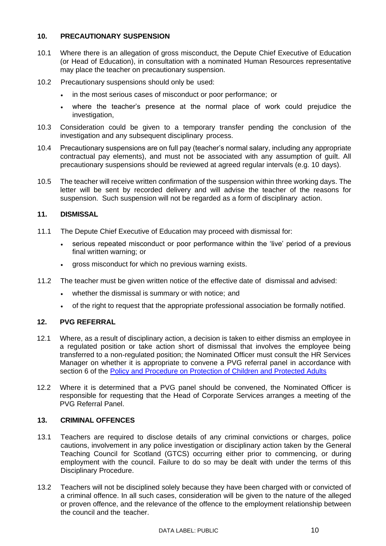# <span id="page-8-0"></span>**10. PRECAUTIONARY SUSPENSION**

- 10.1 Where there is an allegation of gross misconduct, the Depute Chief Executive of Education (or Head of Education), in consultation with a nominated Human Resources representative may place the teacher on precautionary suspension.
- 10.2 Precautionary suspensions should only be used:
	- in the most serious cases of misconduct or poor performance; or
	- where the teacher's presence at the normal place of work could prejudice the investigation,
- 10.3 Consideration could be given to a temporary transfer pending the conclusion of the investigation and any subsequent disciplinary process.
- 10.4 Precautionary suspensions are on full pay (teacher's normal salary, including any appropriate contractual pay elements), and must not be associated with any assumption of guilt. All precautionary suspensions should be reviewed at agreed regular intervals (e.g. 10 days).
- 10.5 The teacher will receive written confirmation of the suspension within three working days. The letter will be sent by recorded delivery and will advise the teacher of the reasons for suspension. Such suspension will not be regarded as a form of disciplinary action.

# <span id="page-8-1"></span>**11. DISMISSAL**

- 11.1 The Depute Chief Executive of Education may proceed with dismissal for:
	- serious repeated misconduct or poor performance within the 'live' period of a previous final written warning; or
	- gross misconduct for which no previous warning exists.
- 11.2 The teacher must be given written notice of the effective date of dismissal and advised:
	- whether the dismissal is summary or with notice; and
	- of the right to request that the appropriate professional association be formally notified.

# **12. PVG REFERRAL**

- 12.1 Where, as a result of disciplinary action, a decision is taken to either dismiss an employee in a regulated position or take action short of dismissal that involves the employee being transferred to a non-regulated position; the Nominated Officer must consult the HR Services Manager on whether it is appropriate to convene a PVG referral panel in accordance with section 6 of the [Policy and Procedure on Protection of Children and Protected Adults](https://www.westlothian.gov.uk/media/28452/Policy-and-Procedure-on-the-Protection-of-Children-and-Protected-Adults/pdf/Policy___Procedure_for_the_protection_of_children_and_protected_adults.pdf?m=637140754936770000)
- 12.2 Where it is determined that a PVG panel should be convened, the Nominated Officer is responsible for requesting that the Head of Corporate Services arranges a meeting of the PVG Referral Panel.

# <span id="page-8-2"></span>**13. CRIMINAL OFFENCES**

- 13.1 Teachers are required to disclose details of any criminal convictions or charges, police cautions, involvement in any police investigation or disciplinary action taken by the General Teaching Council for Scotland (GTCS) occurring either prior to commencing, or during employment with the council. Failure to do so may be dealt with under the terms of this Disciplinary Procedure.
- 13.2 Teachers will not be disciplined solely because they have been charged with or convicted of a criminal offence. In all such cases, consideration will be given to the nature of the alleged or proven offence, and the relevance of the offence to the employment relationship between the council and the teacher.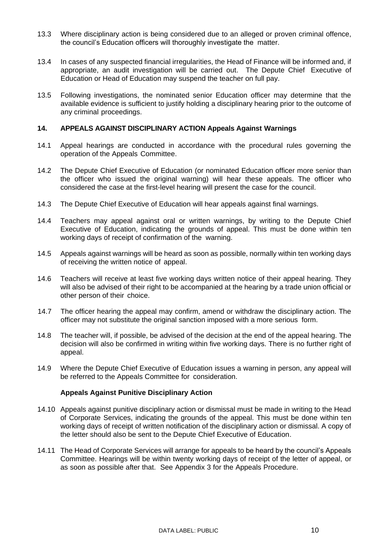- 13.3 Where disciplinary action is being considered due to an alleged or proven criminal offence, the council's Education officers will thoroughly investigate the matter.
- 13.4 In cases of any suspected financial irregularities, the Head of Finance will be informed and, if appropriate, an audit investigation will be carried out. The Depute Chief Executive of Education or Head of Education may suspend the teacher on full pay.
- 13.5 Following investigations, the nominated senior Education officer may determine that the available evidence is sufficient to justify holding a disciplinary hearing prior to the outcome of any criminal proceedings.

#### **14. APPEALS AGAINST DISCIPLINARY ACTION Appeals Against Warnings**

- 14.1 Appeal hearings are conducted in accordance with the procedural rules governing the operation of the Appeals Committee.
- 14.2 The Depute Chief Executive of Education (or nominated Education officer more senior than the officer who issued the original warning) will hear these appeals. The officer who considered the case at the first-level hearing will present the case for the council.
- 14.3 The Depute Chief Executive of Education will hear appeals against final warnings.
- 14.4 Teachers may appeal against oral or written warnings, by writing to the Depute Chief Executive of Education, indicating the grounds of appeal. This must be done within ten working days of receipt of confirmation of the warning.
- 14.5 Appeals against warnings will be heard as soon as possible, normally within ten working days of receiving the written notice of appeal.
- 14.6 Teachers will receive at least five working days written notice of their appeal hearing. They will also be advised of their right to be accompanied at the hearing by a trade union official or other person of their choice.
- 14.7 The officer hearing the appeal may confirm, amend or withdraw the disciplinary action. The officer may not substitute the original sanction imposed with a more serious form.
- 14.8 The teacher will, if possible, be advised of the decision at the end of the appeal hearing. The decision will also be confirmed in writing within five working days. There is no further right of appeal.
- 14.9 Where the Depute Chief Executive of Education issues a warning in person, any appeal will be referred to the Appeals Committee for consideration.

#### **Appeals Against Punitive Disciplinary Action**

- <span id="page-9-0"></span>14.10 Appeals against punitive disciplinary action or dismissal must be made in writing to the Head of Corporate Services, indicating the grounds of the appeal. This must be done within ten working days of receipt of written notification of the disciplinary action or dismissal. A copy of the letter should also be sent to the Depute Chief Executive of Education.
- 14.11 The Head of Corporate Services will arrange for appeals to be heard by the council's Appeals Committee. Hearings will be within twenty working days of receipt of the letter of appeal, or as soon as possible after that. See Appendix 3 for the Appeals Procedure.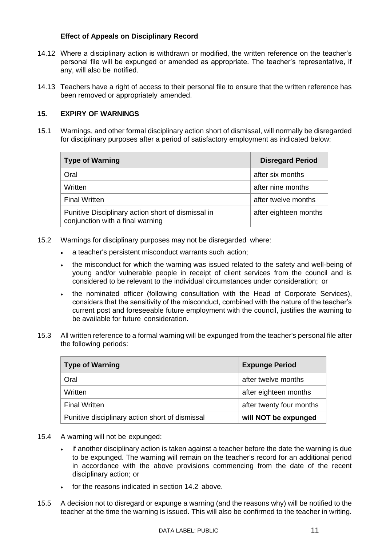# **Effect of Appeals on Disciplinary Record**

- <span id="page-10-0"></span>14.12 Where a disciplinary action is withdrawn or modified, the written reference on the teacher's personal file will be expunged or amended as appropriate. The teacher's representative, if any, will also be notified.
- 14.13 Teachers have a right of access to their personal file to ensure that the written reference has been removed or appropriately amended.

# <span id="page-10-1"></span>**15. EXPIRY OF WARNINGS**

15.1 Warnings, and other formal disciplinary action short of dismissal, will normally be disregarded for disciplinary purposes after a period of satisfactory employment as indicated below:

| <b>Type of Warning</b>                                                                 | <b>Disregard Period</b> |
|----------------------------------------------------------------------------------------|-------------------------|
| Oral                                                                                   | after six months        |
| Written                                                                                | after nine months       |
| <b>Final Written</b>                                                                   | after twelve months     |
| Punitive Disciplinary action short of dismissal in<br>conjunction with a final warning | after eighteen months   |

- 15.2 Warnings for disciplinary purposes may not be disregarded where:
	- a teacher's persistent misconduct warrants such action;
	- the misconduct for which the warning was issued related to the safety and well-being of young and/or vulnerable people in receipt of client services from the council and is considered to be relevant to the individual circumstances under consideration; or
	- the nominated officer (following consultation with the Head of Corporate Services), considers that the sensitivity of the misconduct, combined with the nature of the teacher's current post and foreseeable future employment with the council, justifies the warning to be available for future consideration.
- 15.3 All written reference to a formal warning will be expunged from the teacher's personal file after the following periods:

| <b>Type of Warning</b>                          | <b>Expunge Period</b>    |
|-------------------------------------------------|--------------------------|
| Oral                                            | after twelve months      |
| Written                                         | after eighteen months    |
| <b>Final Written</b>                            | after twenty four months |
| Punitive disciplinary action short of dismissal | will NOT be expunged     |

- 15.4 A warning will not be expunged:
	- if another disciplinary action is taken against a teacher before the date the warning is due to be expunged. The warning will remain on the teacher's record for an additional period in accordance with the above provisions commencing from the date of the recent disciplinary action; or
	- for the reasons indicated in section 14.2 above.
- 15.5 A decision not to disregard or expunge a warning (and the reasons why) will be notified to the teacher at the time the warning is issued. This will also be confirmed to the teacher in writing.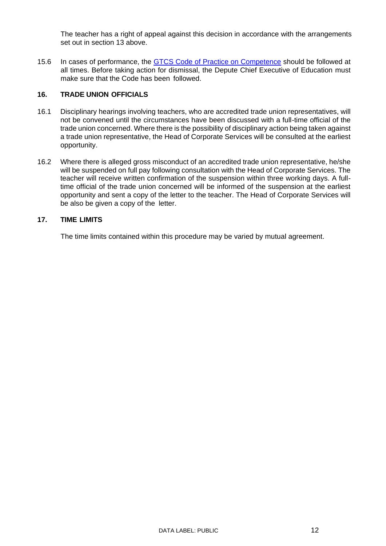The teacher has a right of appeal against this decision in accordance with the arrangements set out in section 13 above.

15.6 In cases of performance, the [GTCS Code of Practice on Competence](http://www.gtcs.org.uk/web/FILES/teacher-regulation/code-of-practice-on-teacher-competence.pdf) should be followed at all times. Before taking action for dismissal, the Depute Chief Executive of Education must make sure that the Code has been followed.

# <span id="page-11-0"></span>**16. TRADE UNION OFFICIALS**

- 16.1 Disciplinary hearings involving teachers, who are accredited trade union representatives, will not be convened until the circumstances have been discussed with a full-time official of the trade union concerned. Where there is the possibility of disciplinary action being taken against a trade union representative, the Head of Corporate Services will be consulted at the earliest opportunity.
- 16.2 Where there is alleged gross misconduct of an accredited trade union representative, he/she will be suspended on full pay following consultation with the Head of Corporate Services. The teacher will receive written confirmation of the suspension within three working days. A fulltime official of the trade union concerned will be informed of the suspension at the earliest opportunity and sent a copy of the letter to the teacher. The Head of Corporate Services will be also be given a copy of the letter.

# <span id="page-11-1"></span>**17. TIME LIMITS**

The time limits contained within this procedure may be varied by mutual agreement.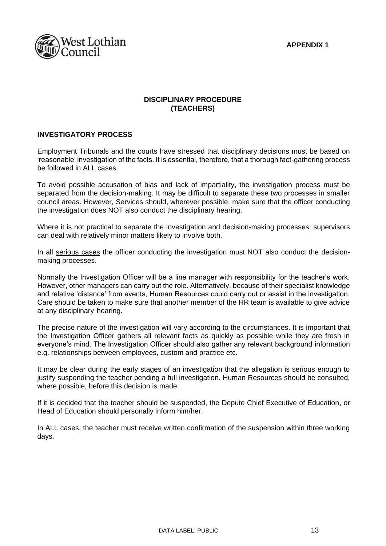**APPENDIX 1**



# **DISCIPLINARY PROCEDURE (TEACHERS)**

#### **INVESTIGATORY PROCESS**

Employment Tribunals and the courts have stressed that disciplinary decisions must be based on 'reasonable' investigation of the facts. It is essential, therefore, that a thorough fact-gathering process be followed in ALL cases.

To avoid possible accusation of bias and lack of impartiality, the investigation process must be separated from the decision-making. It may be difficult to separate these two processes in smaller council areas. However, Services should, wherever possible, make sure that the officer conducting the investigation does NOT also conduct the disciplinary hearing.

Where it is not practical to separate the investigation and decision-making processes, supervisors can deal with relatively minor matters likely to involve both.

In all serious cases the officer conducting the investigation must NOT also conduct the decisionmaking processes.

Normally the Investigation Officer will be a line manager with responsibility for the teacher's work. However, other managers can carry out the role. Alternatively, because of their specialist knowledge and relative 'distance' from events, Human Resources could carry out or assist in the investigation. Care should be taken to make sure that another member of the HR team is available to give advice at any disciplinary hearing.

The precise nature of the investigation will vary according to the circumstances. It is important that the Investigation Officer gathers all relevant facts as quickly as possible while they are fresh in everyone's mind. The Investigation Officer should also gather any relevant background information e.g. relationships between employees, custom and practice etc.

It may be clear during the early stages of an investigation that the allegation is serious enough to justify suspending the teacher pending a full investigation. Human Resources should be consulted, where possible, before this decision is made.

If it is decided that the teacher should be suspended, the Depute Chief Executive of Education, or Head of Education should personally inform him/her.

In ALL cases, the teacher must receive written confirmation of the suspension within three working days.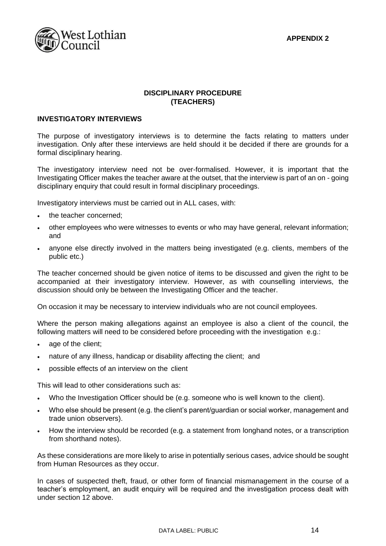**APPENDIX 2**



# **DISCIPLINARY PROCEDURE (TEACHERS)**

#### **INVESTIGATORY INTERVIEWS**

The purpose of investigatory interviews is to determine the facts relating to matters under investigation. Only after these interviews are held should it be decided if there are grounds for a formal disciplinary hearing.

The investigatory interview need not be over-formalised. However, it is important that the Investigating Officer makes the teacher aware at the outset, that the interview is part of an on - going disciplinary enquiry that could result in formal disciplinary proceedings.

Investigatory interviews must be carried out in ALL cases, with:

- the teacher concerned;
- other employees who were witnesses to events or who may have general, relevant information; and
- anyone else directly involved in the matters being investigated (e.g. clients, members of the public etc.)

The teacher concerned should be given notice of items to be discussed and given the right to be accompanied at their investigatory interview. However, as with counselling interviews, the discussion should only be between the Investigating Officer and the teacher.

On occasion it may be necessary to interview individuals who are not council employees.

Where the person making allegations against an employee is also a client of the council, the following matters will need to be considered before proceeding with the investigation e.g.:

- age of the client;
- nature of any illness, handicap or disability affecting the client; and
- possible effects of an interview on the client

This will lead to other considerations such as:

- Who the Investigation Officer should be (e.g. someone who is well known to the client).
- Who else should be present (e.g. the client's parent/guardian or social worker, management and trade union observers).
- How the interview should be recorded (e.g. a statement from longhand notes, or a transcription from shorthand notes).

As these considerations are more likely to arise in potentially serious cases, advice should be sought from Human Resources as they occur.

In cases of suspected theft, fraud, or other form of financial mismanagement in the course of a teacher's employment, an audit enquiry will be required and the investigation process dealt with under section 12 above.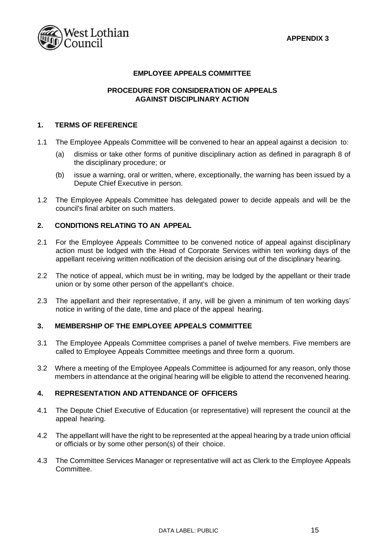

# **EMPLOYEE APPEALS COMMITTEE**

# **PROCEDURE FOR CONSIDERATION OF APPEALS AGAINST DISCIPLINARY ACTION**

# **1. TERMS OF REFERENCE**

- 1.1 The Employee Appeals Committee will be convened to hear an appeal against a decision to:
	- (a) dismiss or take other forms of punitive disciplinary action as defined in paragraph 8 of the disciplinary procedure; or
	- (b) issue a warning, oral or written, where, exceptionally, the warning has been issued by a Depute Chief Executive in person.
- 1.2 The Employee Appeals Committee has delegated power to decide appeals and will be the council's final arbiter on such matters.

# **2. CONDITIONS RELATING TO AN APPEAL**

- 2.1 For the Employee Appeals Committee to be convened notice of appeal against disciplinary action must be lodged with the Head of Corporate Services within ten working days of the appellant receiving written notification of the decision arising out of the disciplinary hearing.
- 2.2 The notice of appeal, which must be in writing, may be lodged by the appellant or their trade union or by some other person of the appellant's choice.
- 2.3 The appellant and their representative, if any, will be given a minimum of ten working days' notice in writing of the date, time and place of the appeal hearing.

#### **3. MEMBERSHIP OF THE EMPLOYEE APPEALS COMMITTEE**

- 3.1 The Employee Appeals Committee comprises a panel of twelve members. Five members are called to Employee Appeals Committee meetings and three form a quorum.
- 3.2 Where a meeting of the Employee Appeals Committee is adjourned for any reason, only those members in attendance at the original hearing will be eligible to attend the reconvened hearing.

# **4. REPRESENTATION AND ATTENDANCE OF OFFICERS**

- 4.1 The Depute Chief Executive of Education (or representative) will represent the council at the appeal hearing.
- 4.2 The appellant will have the right to be represented at the appeal hearing by a trade union official or officials or by some other person(s) of their choice.
- 4.3 The Committee Services Manager or representative will act as Clerk to the Employee Appeals Committee.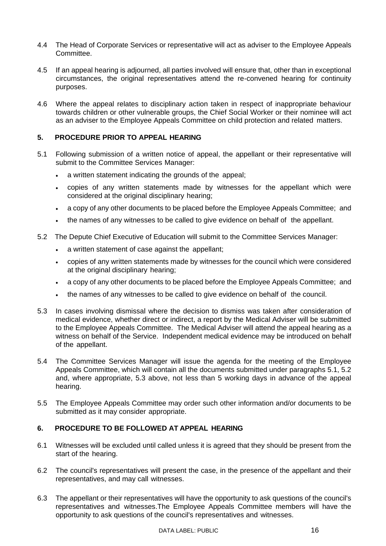- 4.4 The Head of Corporate Services or representative will act as adviser to the Employee Appeals Committee.
- 4.5 If an appeal hearing is adjourned, all parties involved will ensure that, other than in exceptional circumstances, the original representatives attend the re-convened hearing for continuity purposes.
- 4.6 Where the appeal relates to disciplinary action taken in respect of inappropriate behaviour towards children or other vulnerable groups, the Chief Social Worker or their nominee will act as an adviser to the Employee Appeals Committee on child protection and related matters.

# **5. PROCEDURE PRIOR TO APPEAL HEARING**

- 5.1 Following submission of a written notice of appeal, the appellant or their representative will submit to the Committee Services Manager:
	- a written statement indicating the grounds of the appeal;
	- copies of any written statements made by witnesses for the appellant which were considered at the original disciplinary hearing;
	- a copy of any other documents to be placed before the Employee Appeals Committee; and
	- the names of any witnesses to be called to give evidence on behalf of the appellant.
- 5.2 The Depute Chief Executive of Education will submit to the Committee Services Manager:
	- a written statement of case against the appellant;
	- copies of any written statements made by witnesses for the council which were considered at the original disciplinary hearing;
	- a copy of any other documents to be placed before the Employee Appeals Committee; and
	- the names of any witnesses to be called to give evidence on behalf of the council.
- 5.3 In cases involving dismissal where the decision to dismiss was taken after consideration of medical evidence, whether direct or indirect, a report by the Medical Adviser will be submitted to the Employee Appeals Committee. The Medical Adviser will attend the appeal hearing as a witness on behalf of the Service. Independent medical evidence may be introduced on behalf of the appellant.
- 5.4 The Committee Services Manager will issue the agenda for the meeting of the Employee Appeals Committee, which will contain all the documents submitted under paragraphs 5.1, 5.2 and, where appropriate, 5.3 above, not less than 5 working days in advance of the appeal hearing.
- 5.5 The Employee Appeals Committee may order such other information and/or documents to be submitted as it may consider appropriate.

# **6. PROCEDURE TO BE FOLLOWED AT APPEAL HEARING**

- 6.1 Witnesses will be excluded until called unless it is agreed that they should be present from the start of the hearing.
- 6.2 The council's representatives will present the case, in the presence of the appellant and their representatives, and may call witnesses.
- 6.3 The appellant or their representatives will have the opportunity to ask questions of the council's representatives and witnesses.The Employee Appeals Committee members will have the opportunity to ask questions of the council's representatives and witnesses.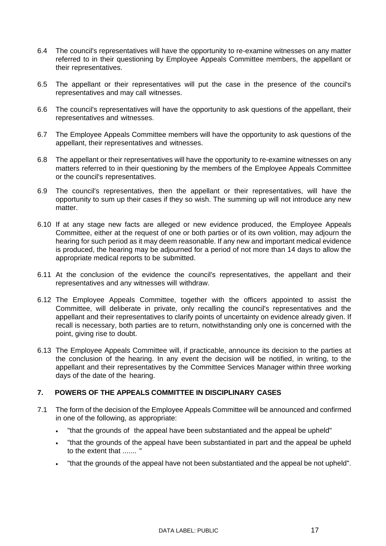- 6.4 The council's representatives will have the opportunity to re-examine witnesses on any matter referred to in their questioning by Employee Appeals Committee members, the appellant or their representatives.
- 6.5 The appellant or their representatives will put the case in the presence of the council's representatives and may call witnesses.
- 6.6 The council's representatives will have the opportunity to ask questions of the appellant, their representatives and witnesses.
- 6.7 The Employee Appeals Committee members will have the opportunity to ask questions of the appellant, their representatives and witnesses.
- 6.8 The appellant or their representatives will have the opportunity to re-examine witnesses on any matters referred to in their questioning by the members of the Employee Appeals Committee or the council's representatives.
- 6.9 The council's representatives, then the appellant or their representatives, will have the opportunity to sum up their cases if they so wish. The summing up will not introduce any new matter.
- 6.10 If at any stage new facts are alleged or new evidence produced, the Employee Appeals Committee, either at the request of one or both parties or of its own volition, may adjourn the hearing for such period as it may deem reasonable. If any new and important medical evidence is produced, the hearing may be adjourned for a period of not more than 14 days to allow the appropriate medical reports to be submitted.
- 6.11 At the conclusion of the evidence the council's representatives, the appellant and their representatives and any witnesses will withdraw.
- 6.12 The Employee Appeals Committee, together with the officers appointed to assist the Committee, will deliberate in private, only recalling the council's representatives and the appellant and their representatives to clarify points of uncertainty on evidence already given. If recall is necessary, both parties are to return, notwithstanding only one is concerned with the point, giving rise to doubt.
- 6.13 The Employee Appeals Committee will, if practicable, announce its decision to the parties at the conclusion of the hearing. In any event the decision will be notified, in writing, to the appellant and their representatives by the Committee Services Manager within three working days of the date of the hearing.

# **7. POWERS OF THE APPEALS COMMITTEE IN DISCIPLINARY CASES**

- 7.1 The form of the decision of the Employee Appeals Committee will be announced and confirmed in one of the following, as appropriate:
	- "that the grounds of the appeal have been substantiated and the appeal be upheld"
	- "that the grounds of the appeal have been substantiated in part and the appeal be upheld to the extent that ....... "
	- "that the grounds of the appeal have not been substantiated and the appeal be not upheld".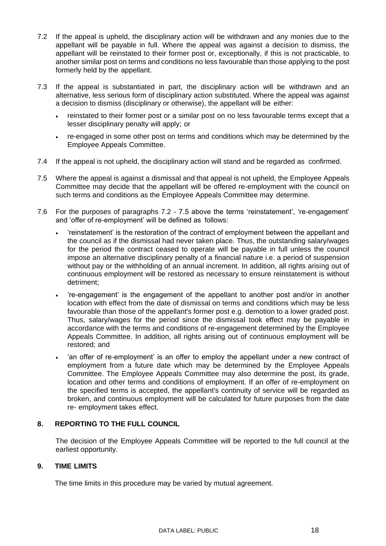- 7.2 If the appeal is upheld, the disciplinary action will be withdrawn and any monies due to the appellant will be payable in full. Where the appeal was against a decision to dismiss, the appellant will be reinstated to their former post or, exceptionally, if this is not practicable, to another similar post on terms and conditions no less favourable than those applying to the post formerly held by the appellant.
- 7.3 If the appeal is substantiated in part, the disciplinary action will be withdrawn and an alternative, less serious form of disciplinary action substituted. Where the appeal was against a decision to dismiss (disciplinary or otherwise), the appellant will be either:
	- reinstated to their former post or a similar post on no less favourable terms except that a lesser disciplinary penalty will apply; or
	- re-engaged in some other post on terms and conditions which may be determined by the Employee Appeals Committee.
- 7.4 If the appeal is not upheld, the disciplinary action will stand and be regarded as confirmed.
- 7.5 Where the appeal is against a dismissal and that appeal is not upheld, the Employee Appeals Committee may decide that the appellant will be offered re-employment with the council on such terms and conditions as the Employee Appeals Committee may determine.
- 7.6 For the purposes of paragraphs 7.2 7.5 above the terms 'reinstatement', 're-engagement' and 'offer of re-employment' will be defined as follows:
	- 'reinstatement' is the restoration of the contract of employment between the appellant and the council as if the dismissal had never taken place. Thus, the outstanding salary/wages for the period the contract ceased to operate will be payable in full unless the council impose an alternative disciplinary penalty of a financial nature i.e. a period of suspension without pay or the withholding of an annual increment. In addition, all rights arising out of continuous employment will be restored as necessary to ensure reinstatement is without detriment;
	- 're-engagement' is the engagement of the appellant to another post and/or in another location with effect from the date of dismissal on terms and conditions which may be less favourable than those of the appellant's former post e.g. demotion to a lower graded post. Thus, salary/wages for the period since the dismissal took effect may be payable in accordance with the terms and conditions of re-engagement determined by the Employee Appeals Committee. In addition, all rights arising out of continuous employment will be restored; and
	- 'an offer of re-employment' is an offer to employ the appellant under a new contract of employment from a future date which may be determined by the Employee Appeals Committee. The Employee Appeals Committee may also determine the post, its grade, location and other terms and conditions of employment. If an offer of re-employment on the specified terms is accepted, the appellant's continuity of service will be regarded as broken, and continuous employment will be calculated for future purposes from the date re- employment takes effect.

# **8. REPORTING TO THE FULL COUNCIL**

The decision of the Employee Appeals Committee will be reported to the full council at the earliest opportunity.

# **9. TIME LIMITS**

The time limits in this procedure may be varied by mutual agreement.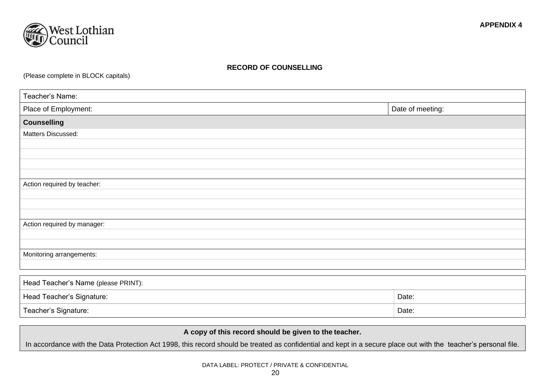

# **RECORD OF COUNSELLING**

(Please complete in BLOCK capitals)

| Teacher's Name:             |  |  |
|-----------------------------|--|--|
| Date of meeting:            |  |  |
|                             |  |  |
| Matters Discussed:          |  |  |
|                             |  |  |
|                             |  |  |
|                             |  |  |
|                             |  |  |
| Action required by teacher: |  |  |
|                             |  |  |
|                             |  |  |
|                             |  |  |
| Action required by manager: |  |  |
|                             |  |  |
|                             |  |  |
| Monitoring arrangements:    |  |  |
|                             |  |  |
|                             |  |  |

| Head Teacher's Name (please PRINT): |       |  |  |
|-------------------------------------|-------|--|--|
| Head Teacher's Signature:           | Date: |  |  |
| Teacher's Signature:                | Date: |  |  |

**A copy of this record should be given to the teacher.**

In accordance with the Data Protection Act 1998, this record should be treated as confidential and kept in a secure place out with the teacher's personal file.